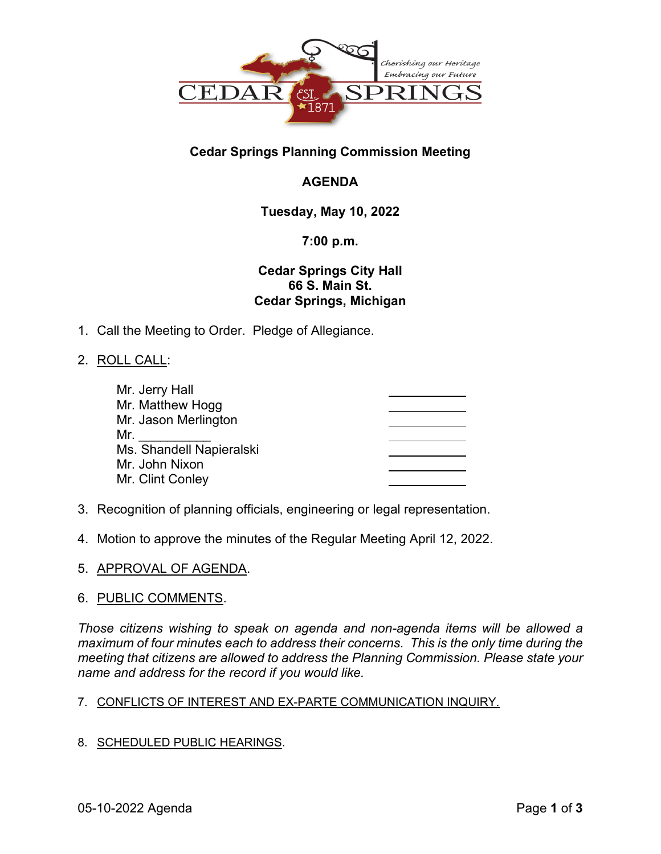

## **Cedar Springs Planning Commission Meeting**

# **AGENDA**

## **Tuesday, May 10, 2022**

### **7:00 p.m.**

## **Cedar Springs City Hall 66 S. Main St. Cedar Springs, Michigan**

- 1. Call the Meeting to Order. Pledge of Allegiance.
- 2. ROLL CALL:

| Mr. Jerry Hall           |  |
|--------------------------|--|
|                          |  |
| Mr. Matthew Hogg         |  |
| Mr. Jason Merlington     |  |
| Mr.                      |  |
| Ms. Shandell Napieralski |  |
| Mr. John Nixon           |  |
| Mr. Clint Conley         |  |

- 3. Recognition of planning officials, engineering or legal representation.
- 4. Motion to approve the minutes of the Regular Meeting April 12, 2022.
- 5. APPROVAL OF AGENDA.

#### 6. PUBLIC COMMENTS.

*Those citizens wishing to speak on agenda and non-agenda items will be allowed a maximum of four minutes each to address their concerns. This is the only time during the meeting that citizens are allowed to address the Planning Commission. Please state your name and address for the record if you would like.* 

#### 7. CONFLICTS OF INTEREST AND EX-PARTE COMMUNICATION INQUIRY.

8. SCHEDULED PUBLIC HEARINGS.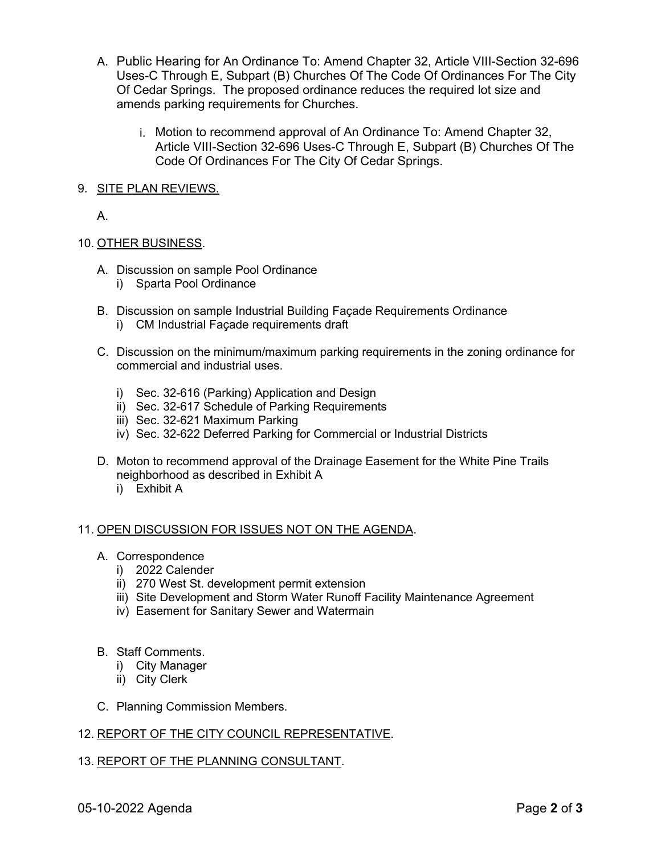- A. Public Hearing for An Ordinance To: Amend Chapter 32, Article VIII-Section 32-696 Uses-C Through E, Subpart (B) Churches Of The Code Of Ordinances For The City Of Cedar Springs. The proposed ordinance reduces the required lot size and amends parking requirements for Churches.
	- i. Motion to recommend approval of An Ordinance To: Amend Chapter 32, Article VIII-Section 32-696 Uses-C Through E, Subpart (B) Churches Of The Code Of Ordinances For The City Of Cedar Springs.
- 9. SITE PLAN REVIEWS.

A.

#### 10. OTHER BUSINESS.

- A. Discussion on sample Pool Ordinance
	- i) Sparta Pool Ordinance
- B. Discussion on sample Industrial Building Façade Requirements Ordinance
	- i) CM Industrial Façade requirements draft
- C. Discussion on the minimum/maximum parking requirements in the zoning ordinance for commercial and industrial uses.
	- i) Sec. 32-616 (Parking) Application and Design
	- ii) Sec. 32-617 Schedule of Parking Requirements
	- iii) Sec. 32-621 Maximum Parking
	- iv) Sec. 32-622 Deferred Parking for Commercial or Industrial Districts
- D. Moton to recommend approval of the Drainage Easement for the White Pine Trails neighborhood as described in Exhibit A
	- i) Exhibit A

#### 11. OPEN DISCUSSION FOR ISSUES NOT ON THE AGENDA.

- A. Correspondence
	- i) 2022 Calender
	- ii) 270 West St. development permit extension
	- iii) Site Development and Storm Water Runoff Facility Maintenance Agreement
	- iv) Easement for Sanitary Sewer and Watermain
- B. Staff Comments.
	- i) City Manager
	- ii) City Clerk
- C. Planning Commission Members.

#### 12. REPORT OF THE CITY COUNCIL REPRESENTATIVE.

#### 13. REPORT OF THE PLANNING CONSULTANT.